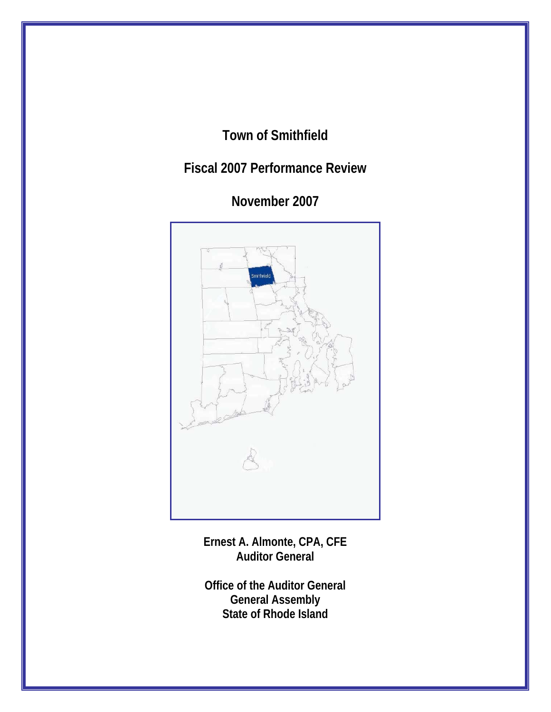# **Town of Smithfield**

# **Fiscal 2007 Performance Review**

**November 2007** 



**Ernest A. Almonte, CPA, CFE Auditor General** 

**Office of the Auditor General General Assembly State of Rhode Island**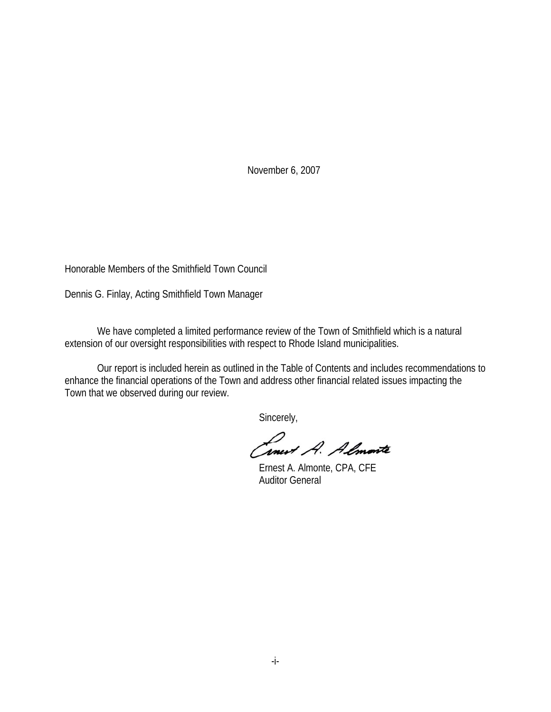November 6, 2007

Honorable Members of the Smithfield Town Council

Dennis G. Finlay, Acting Smithfield Town Manager

 We have completed a limited performance review of the Town of Smithfield which is a natural extension of our oversight responsibilities with respect to Rhode Island municipalities.

 Our report is included herein as outlined in the Table of Contents and includes recommendations to enhance the financial operations of the Town and address other financial related issues impacting the Town that we observed during our review.

Sincerely,

Cinet A. Almonte

 Ernest A. Almonte, CPA, CFE Auditor General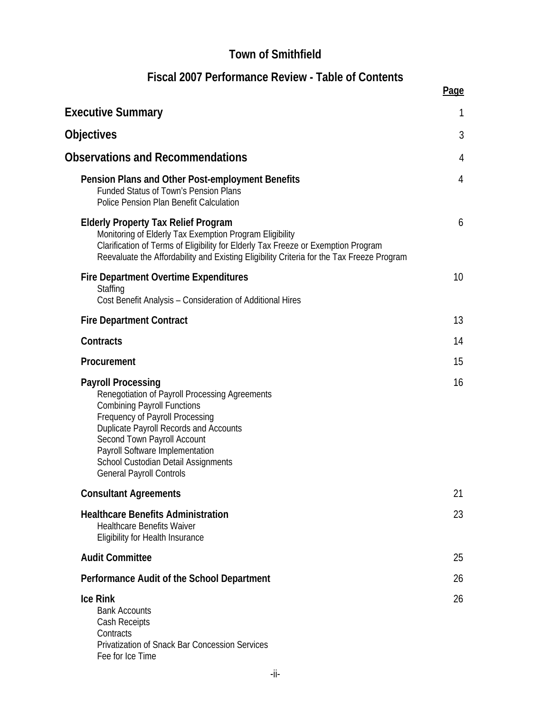# **Town of Smithfield**

# **Fiscal 2007 Performance Review - Table of Contents**

|                                                                                                                                                                                                                                                                                                                                                   | Page |
|---------------------------------------------------------------------------------------------------------------------------------------------------------------------------------------------------------------------------------------------------------------------------------------------------------------------------------------------------|------|
| <b>Executive Summary</b>                                                                                                                                                                                                                                                                                                                          |      |
| Objectives                                                                                                                                                                                                                                                                                                                                        | 3    |
| <b>Observations and Recommendations</b>                                                                                                                                                                                                                                                                                                           | 4    |
| Pension Plans and Other Post-employment Benefits<br><b>Funded Status of Town's Pension Plans</b><br><b>Police Pension Plan Benefit Calculation</b>                                                                                                                                                                                                | 4    |
| <b>Elderly Property Tax Relief Program</b><br>Monitoring of Elderly Tax Exemption Program Eligibility<br>Clarification of Terms of Eligibility for Elderly Tax Freeze or Exemption Program<br>Reevaluate the Affordability and Existing Eligibility Criteria for the Tax Freeze Program                                                           | 6    |
| <b>Fire Department Overtime Expenditures</b><br>Staffing<br>Cost Benefit Analysis - Consideration of Additional Hires                                                                                                                                                                                                                             | 10   |
| <b>Fire Department Contract</b>                                                                                                                                                                                                                                                                                                                   | 13   |
| Contracts                                                                                                                                                                                                                                                                                                                                         | 14   |
| Procurement                                                                                                                                                                                                                                                                                                                                       | 15   |
| <b>Payroll Processing</b><br>Renegotiation of Payroll Processing Agreements<br><b>Combining Payroll Functions</b><br>Frequency of Payroll Processing<br><b>Duplicate Payroll Records and Accounts</b><br>Second Town Payroll Account<br>Payroll Software Implementation<br>School Custodian Detail Assignments<br><b>General Payroll Controls</b> | 16   |
| <b>Consultant Agreements</b>                                                                                                                                                                                                                                                                                                                      | 21   |
| <b>Healthcare Benefits Administration</b><br><b>Healthcare Benefits Waiver</b><br><b>Eligibility for Health Insurance</b>                                                                                                                                                                                                                         | 23   |
| <b>Audit Committee</b>                                                                                                                                                                                                                                                                                                                            | 25   |
| Performance Audit of the School Department                                                                                                                                                                                                                                                                                                        | 26   |
| <b>Ice Rink</b><br><b>Bank Accounts</b><br>Cash Receipts<br>Contracts<br>Privatization of Snack Bar Concession Services<br>Fee for Ice Time                                                                                                                                                                                                       | 26   |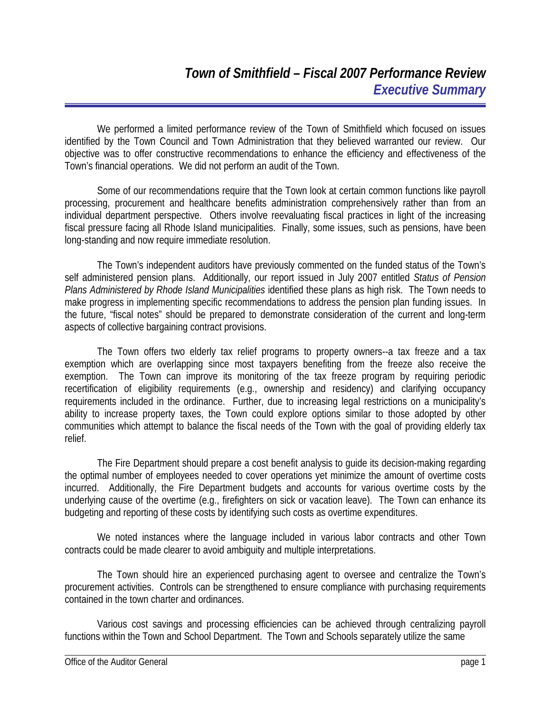We performed a limited performance review of the Town of Smithfield which focused on issues identified by the Town Council and Town Administration that they believed warranted our review. Our objective was to offer constructive recommendations to enhance the efficiency and effectiveness of the Town's financial operations. We did not perform an audit of the Town.

Some of our recommendations require that the Town look at certain common functions like payroll processing, procurement and healthcare benefits administration comprehensively rather than from an individual department perspective. Others involve reevaluating fiscal practices in light of the increasing fiscal pressure facing all Rhode Island municipalities. Finally, some issues, such as pensions, have been long-standing and now require immediate resolution.

The Town's independent auditors have previously commented on the funded status of the Town's self administered pension plans. Additionally, our report issued in July 2007 entitled *Status of Pension Plans Administered by Rhode Island Municipalities* identified these plans as high risk. The Town needs to make progress in implementing specific recommendations to address the pension plan funding issues. In the future, "fiscal notes" should be prepared to demonstrate consideration of the current and long-term aspects of collective bargaining contract provisions.

The Town offers two elderly tax relief programs to property owners--a tax freeze and a tax exemption which are overlapping since most taxpayers benefiting from the freeze also receive the exemption. The Town can improve its monitoring of the tax freeze program by requiring periodic recertification of eligibility requirements (e.g., ownership and residency) and clarifying occupancy requirements included in the ordinance. Further, due to increasing legal restrictions on a municipality's ability to increase property taxes, the Town could explore options similar to those adopted by other communities which attempt to balance the fiscal needs of the Town with the goal of providing elderly tax relief.

The Fire Department should prepare a cost benefit analysis to guide its decision-making regarding the optimal number of employees needed to cover operations yet minimize the amount of overtime costs incurred. Additionally, the Fire Department budgets and accounts for various overtime costs by the underlying cause of the overtime (e.g., firefighters on sick or vacation leave). The Town can enhance its budgeting and reporting of these costs by identifying such costs as overtime expenditures.

We noted instances where the language included in various labor contracts and other Town contracts could be made clearer to avoid ambiguity and multiple interpretations.

The Town should hire an experienced purchasing agent to oversee and centralize the Town's procurement activities. Controls can be strengthened to ensure compliance with purchasing requirements contained in the town charter and ordinances.

Various cost savings and processing efficiencies can be achieved through centralizing payroll functions within the Town and School Department. The Town and Schools separately utilize the same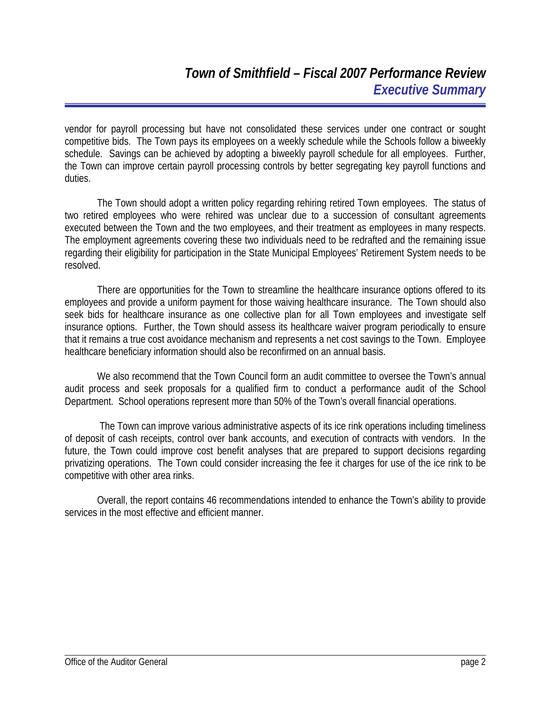vendor for payroll processing but have not consolidated these services under one contract or sought competitive bids. The Town pays its employees on a weekly schedule while the Schools follow a biweekly schedule. Savings can be achieved by adopting a biweekly payroll schedule for all employees. Further, the Town can improve certain payroll processing controls by better segregating key payroll functions and duties.

The Town should adopt a written policy regarding rehiring retired Town employees. The status of two retired employees who were rehired was unclear due to a succession of consultant agreements executed between the Town and the two employees, and their treatment as employees in many respects. The employment agreements covering these two individuals need to be redrafted and the remaining issue regarding their eligibility for participation in the State Municipal Employees' Retirement System needs to be resolved.

There are opportunities for the Town to streamline the healthcare insurance options offered to its employees and provide a uniform payment for those waiving healthcare insurance. The Town should also seek bids for healthcare insurance as one collective plan for all Town employees and investigate self insurance options. Further, the Town should assess its healthcare waiver program periodically to ensure that it remains a true cost avoidance mechanism and represents a net cost savings to the Town. Employee healthcare beneficiary information should also be reconfirmed on an annual basis.

We also recommend that the Town Council form an audit committee to oversee the Town's annual audit process and seek proposals for a qualified firm to conduct a performance audit of the School Department. School operations represent more than 50% of the Town's overall financial operations.

 The Town can improve various administrative aspects of its ice rink operations including timeliness of deposit of cash receipts, control over bank accounts, and execution of contracts with vendors. In the future, the Town could improve cost benefit analyses that are prepared to support decisions regarding privatizing operations. The Town could consider increasing the fee it charges for use of the ice rink to be competitive with other area rinks.

Overall, the report contains 46 recommendations intended to enhance the Town's ability to provide services in the most effective and efficient manner.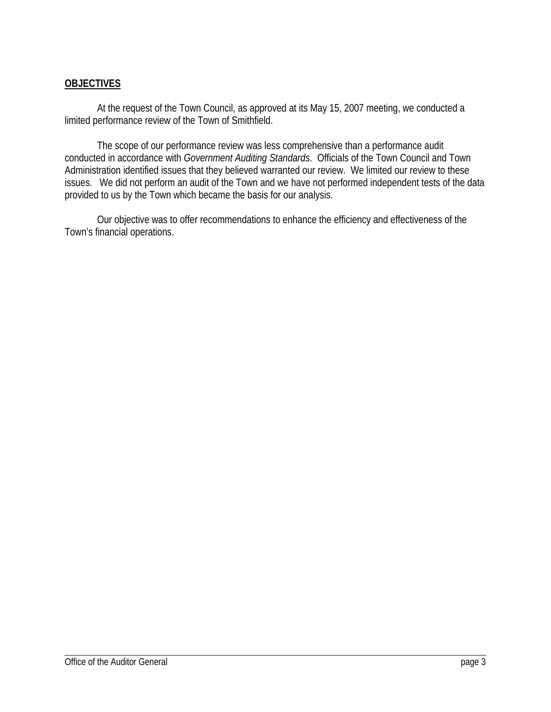# **OBJECTIVES**

 At the request of the Town Council, as approved at its May 15, 2007 meeting, we conducted a limited performance review of the Town of Smithfield.

The scope of our performance review was less comprehensive than a performance audit conducted in accordance with *Government Auditing Standards*. Officials of the Town Council and Town Administration identified issues that they believed warranted our review. We limited our review to these issues. We did not perform an audit of the Town and we have not performed independent tests of the data provided to us by the Town which became the basis for our analysis.

Our objective was to offer recommendations to enhance the efficiency and effectiveness of the Town's financial operations.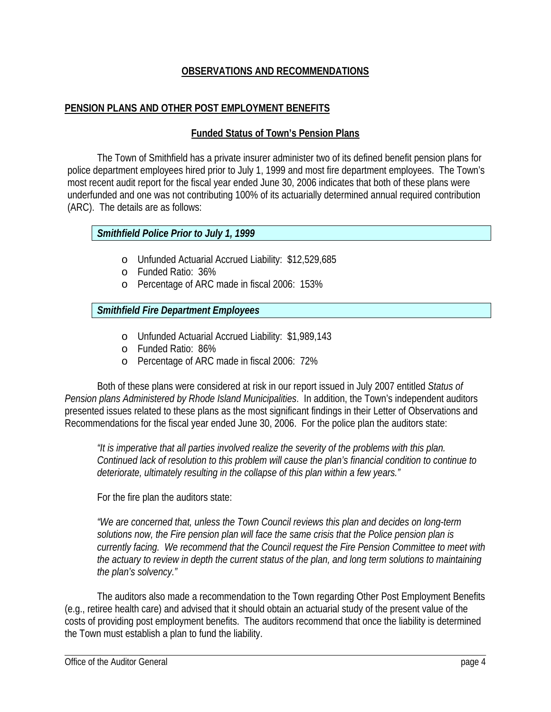### **OBSERVATIONS AND RECOMMENDATIONS**

### **PENSION PLANS AND OTHER POST EMPLOYMENT BENEFITS**

#### **Funded Status of Town's Pension Plans**

The Town of Smithfield has a private insurer administer two of its defined benefit pension plans for police department employees hired prior to July 1, 1999 and most fire department employees. The Town's most recent audit report for the fiscal year ended June 30, 2006 indicates that both of these plans were underfunded and one was not contributing 100% of its actuarially determined annual required contribution (ARC). The details are as follows:

### *Smithfield Police Prior to July 1, 1999*

- o Unfunded Actuarial Accrued Liability: \$12,529,685
- o Funded Ratio: 36%
- o Percentage of ARC made in fiscal 2006: 153%

### *Smithfield Fire Department Employees*

- o Unfunded Actuarial Accrued Liability: \$1,989,143
- o Funded Ratio: 86%
- o Percentage of ARC made in fiscal 2006: 72%

Both of these plans were considered at risk in our report issued in July 2007 entitled *Status of Pension plans Administered by Rhode Island Municipalities*. In addition, the Town's independent auditors presented issues related to these plans as the most significant findings in their Letter of Observations and Recommendations for the fiscal year ended June 30, 2006. For the police plan the auditors state:

*"It is imperative that all parties involved realize the severity of the problems with this plan. Continued lack of resolution to this problem will cause the plan's financial condition to continue to deteriorate, ultimately resulting in the collapse of this plan within a few years."* 

For the fire plan the auditors state:

*"We are concerned that, unless the Town Council reviews this plan and decides on long-term solutions now, the Fire pension plan will face the same crisis that the Police pension plan is currently facing. We recommend that the Council request the Fire Pension Committee to meet with the actuary to review in depth the current status of the plan, and long term solutions to maintaining the plan's solvency."* 

The auditors also made a recommendation to the Town regarding Other Post Employment Benefits (e.g., retiree health care) and advised that it should obtain an actuarial study of the present value of the costs of providing post employment benefits. The auditors recommend that once the liability is determined the Town must establish a plan to fund the liability.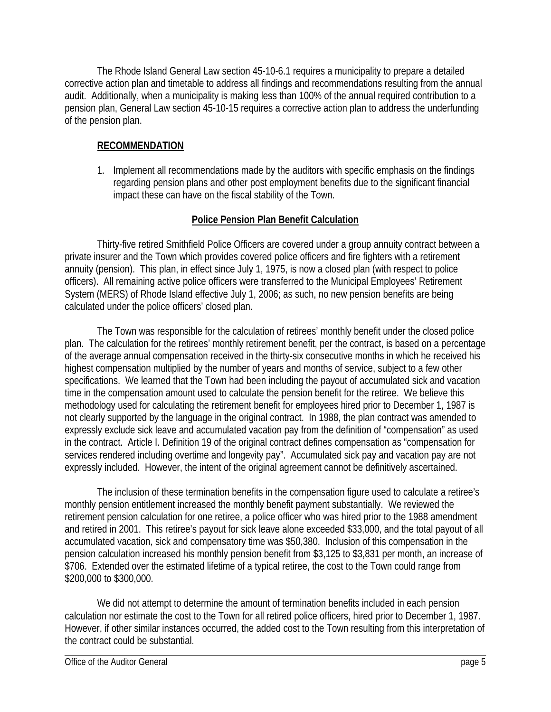The Rhode Island General Law section 45-10-6.1 requires a municipality to prepare a detailed corrective action plan and timetable to address all findings and recommendations resulting from the annual audit. Additionally, when a municipality is making less than 100% of the annual required contribution to a pension plan, General Law section 45-10-15 requires a corrective action plan to address the underfunding of the pension plan.

### **RECOMMENDATION**

1. Implement all recommendations made by the auditors with specific emphasis on the findings regarding pension plans and other post employment benefits due to the significant financial impact these can have on the fiscal stability of the Town.

# **Police Pension Plan Benefit Calculation**

Thirty-five retired Smithfield Police Officers are covered under a group annuity contract between a private insurer and the Town which provides covered police officers and fire fighters with a retirement annuity (pension). This plan, in effect since July 1, 1975, is now a closed plan (with respect to police officers). All remaining active police officers were transferred to the Municipal Employees' Retirement System (MERS) of Rhode Island effective July 1, 2006; as such, no new pension benefits are being calculated under the police officers' closed plan.

The Town was responsible for the calculation of retirees' monthly benefit under the closed police plan. The calculation for the retirees' monthly retirement benefit, per the contract, is based on a percentage of the average annual compensation received in the thirty-six consecutive months in which he received his highest compensation multiplied by the number of years and months of service, subject to a few other specifications. We learned that the Town had been including the payout of accumulated sick and vacation time in the compensation amount used to calculate the pension benefit for the retiree. We believe this methodology used for calculating the retirement benefit for employees hired prior to December 1, 1987 is not clearly supported by the language in the original contract. In 1988, the plan contract was amended to expressly exclude sick leave and accumulated vacation pay from the definition of "compensation" as used in the contract. Article I. Definition 19 of the original contract defines compensation as "compensation for services rendered including overtime and longevity pay". Accumulated sick pay and vacation pay are not expressly included. However, the intent of the original agreement cannot be definitively ascertained.

The inclusion of these termination benefits in the compensation figure used to calculate a retiree's monthly pension entitlement increased the monthly benefit payment substantially. We reviewed the retirement pension calculation for one retiree, a police officer who was hired prior to the 1988 amendment and retired in 2001. This retiree's payout for sick leave alone exceeded \$33,000, and the total payout of all accumulated vacation, sick and compensatory time was \$50,380. Inclusion of this compensation in the pension calculation increased his monthly pension benefit from \$3,125 to \$3,831 per month, an increase of \$706. Extended over the estimated lifetime of a typical retiree, the cost to the Town could range from \$200,000 to \$300,000.

We did not attempt to determine the amount of termination benefits included in each pension calculation nor estimate the cost to the Town for all retired police officers, hired prior to December 1, 1987. However, if other similar instances occurred, the added cost to the Town resulting from this interpretation of the contract could be substantial.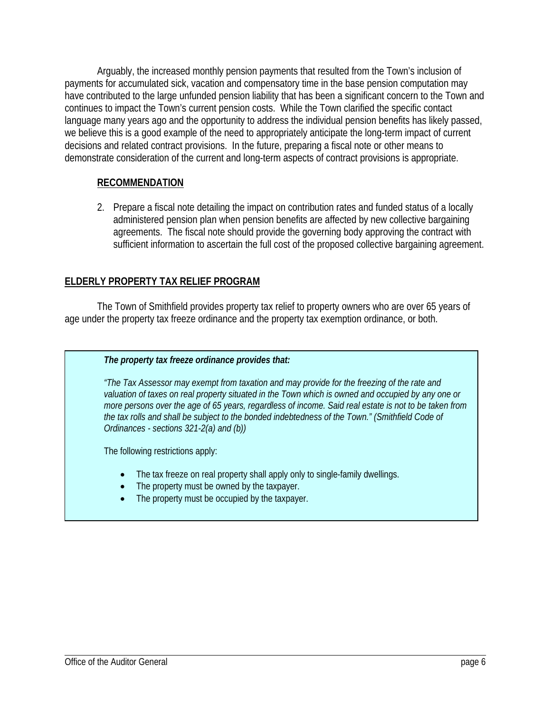Arguably, the increased monthly pension payments that resulted from the Town's inclusion of payments for accumulated sick, vacation and compensatory time in the base pension computation may have contributed to the large unfunded pension liability that has been a significant concern to the Town and continues to impact the Town's current pension costs. While the Town clarified the specific contact language many years ago and the opportunity to address the individual pension benefits has likely passed, we believe this is a good example of the need to appropriately anticipate the long-term impact of current decisions and related contract provisions. In the future, preparing a fiscal note or other means to demonstrate consideration of the current and long-term aspects of contract provisions is appropriate.

### **RECOMMENDATION**

2. Prepare a fiscal note detailing the impact on contribution rates and funded status of a locally administered pension plan when pension benefits are affected by new collective bargaining agreements. The fiscal note should provide the governing body approving the contract with sufficient information to ascertain the full cost of the proposed collective bargaining agreement.

## **ELDERLY PROPERTY TAX RELIEF PROGRAM**

The Town of Smithfield provides property tax relief to property owners who are over 65 years of age under the property tax freeze ordinance and the property tax exemption ordinance, or both.

*The property tax freeze ordinance provides that:* 

*"The Tax Assessor may exempt from taxation and may provide for the freezing of the rate and valuation of taxes on real property situated in the Town which is owned and occupied by any one or more persons over the age of 65 years, regardless of income. Said real estate is not to be taken from the tax rolls and shall be subject to the bonded indebtedness of the Town." (Smithfield Code of Ordinances - sections 321-2(a) and (b))* 

The following restrictions apply:

- The tax freeze on real property shall apply only to single-family dwellings.
- The property must be owned by the taxpayer.
- The property must be occupied by the taxpayer.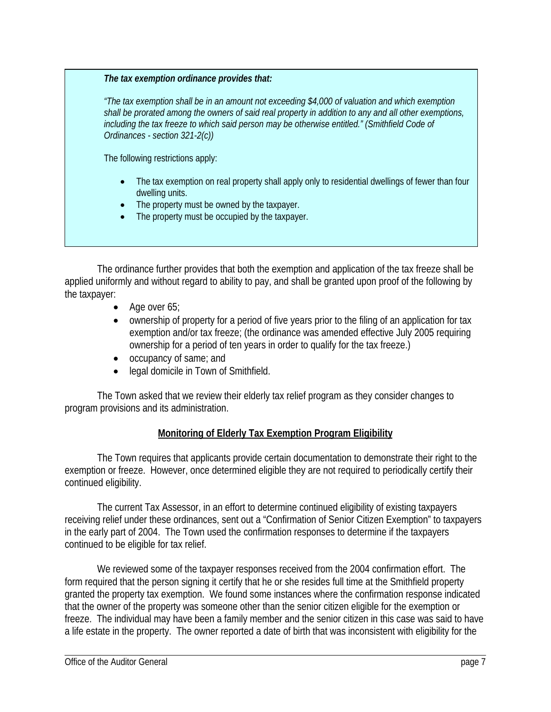*The tax exemption ordinance provides that:* 

*"The tax exemption shall be in an amount not exceeding \$4,000 of valuation and which exemption shall be prorated among the owners of said real property in addition to any and all other exemptions, including the tax freeze to which said person may be otherwise entitled." (Smithfield Code of Ordinances - section 321-2(c))* 

The following restrictions apply:

- The tax exemption on real property shall apply only to residential dwellings of fewer than four dwelling units.
- The property must be owned by the taxpayer.
- The property must be occupied by the taxpayer.

The ordinance further provides that both the exemption and application of the tax freeze shall be applied uniformly and without regard to ability to pay, and shall be granted upon proof of the following by the taxpayer:

- Age over 65;
- ownership of property for a period of five years prior to the filing of an application for tax exemption and/or tax freeze; (the ordinance was amended effective July 2005 requiring ownership for a period of ten years in order to qualify for the tax freeze.)
- occupancy of same; and
- legal domicile in Town of Smithfield.

The Town asked that we review their elderly tax relief program as they consider changes to program provisions and its administration.

### **Monitoring of Elderly Tax Exemption Program Eligibility**

The Town requires that applicants provide certain documentation to demonstrate their right to the exemption or freeze. However, once determined eligible they are not required to periodically certify their continued eligibility.

The current Tax Assessor, in an effort to determine continued eligibility of existing taxpayers receiving relief under these ordinances, sent out a "Confirmation of Senior Citizen Exemption" to taxpayers in the early part of 2004. The Town used the confirmation responses to determine if the taxpayers continued to be eligible for tax relief.

We reviewed some of the taxpayer responses received from the 2004 confirmation effort. The form required that the person signing it certify that he or she resides full time at the Smithfield property granted the property tax exemption. We found some instances where the confirmation response indicated that the owner of the property was someone other than the senior citizen eligible for the exemption or freeze. The individual may have been a family member and the senior citizen in this case was said to have a life estate in the property. The owner reported a date of birth that was inconsistent with eligibility for the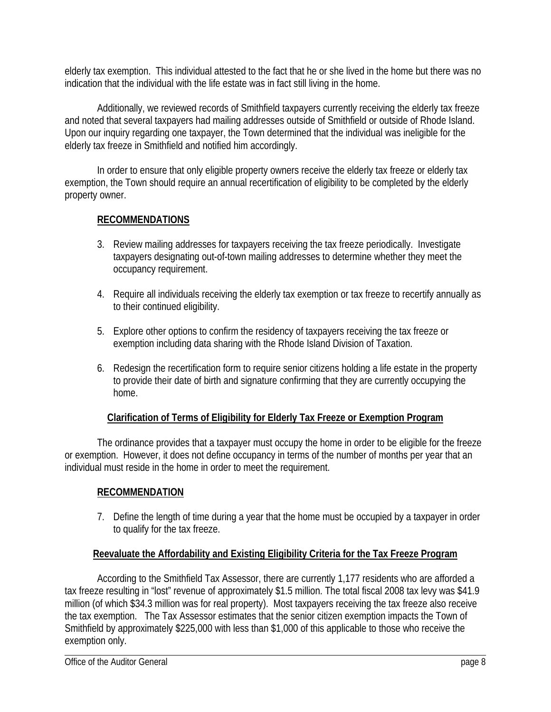elderly tax exemption. This individual attested to the fact that he or she lived in the home but there was no indication that the individual with the life estate was in fact still living in the home.

Additionally, we reviewed records of Smithfield taxpayers currently receiving the elderly tax freeze and noted that several taxpayers had mailing addresses outside of Smithfield or outside of Rhode Island. Upon our inquiry regarding one taxpayer, the Town determined that the individual was ineligible for the elderly tax freeze in Smithfield and notified him accordingly.

In order to ensure that only eligible property owners receive the elderly tax freeze or elderly tax exemption, the Town should require an annual recertification of eligibility to be completed by the elderly property owner.

# **RECOMMENDATIONS**

- 3. Review mailing addresses for taxpayers receiving the tax freeze periodically. Investigate taxpayers designating out-of-town mailing addresses to determine whether they meet the occupancy requirement.
- 4. Require all individuals receiving the elderly tax exemption or tax freeze to recertify annually as to their continued eligibility.
- 5. Explore other options to confirm the residency of taxpayers receiving the tax freeze or exemption including data sharing with the Rhode Island Division of Taxation.
- 6. Redesign the recertification form to require senior citizens holding a life estate in the property to provide their date of birth and signature confirming that they are currently occupying the home.

# **Clarification of Terms of Eligibility for Elderly Tax Freeze or Exemption Program**

The ordinance provides that a taxpayer must occupy the home in order to be eligible for the freeze or exemption. However, it does not define occupancy in terms of the number of months per year that an individual must reside in the home in order to meet the requirement.

### **RECOMMENDATION**

7. Define the length of time during a year that the home must be occupied by a taxpayer in order to qualify for the tax freeze.

### **Reevaluate the Affordability and Existing Eligibility Criteria for the Tax Freeze Program**

According to the Smithfield Tax Assessor, there are currently 1,177 residents who are afforded a tax freeze resulting in "lost" revenue of approximately \$1.5 million. The total fiscal 2008 tax levy was \$41.9 million (of which \$34.3 million was for real property). Most taxpayers receiving the tax freeze also receive the tax exemption. The Tax Assessor estimates that the senior citizen exemption impacts the Town of Smithfield by approximately \$225,000 with less than \$1,000 of this applicable to those who receive the exemption only.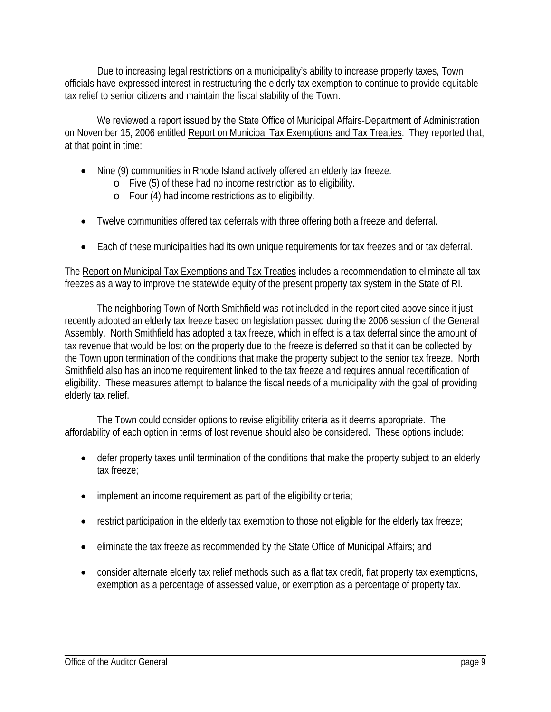Due to increasing legal restrictions on a municipality's ability to increase property taxes, Town officials have expressed interest in restructuring the elderly tax exemption to continue to provide equitable tax relief to senior citizens and maintain the fiscal stability of the Town.

We reviewed a report issued by the State Office of Municipal Affairs-Department of Administration on November 15, 2006 entitled Report on Municipal Tax Exemptions and Tax Treaties. They reported that, at that point in time:

- Nine (9) communities in Rhode Island actively offered an elderly tax freeze.
	- o Five (5) of these had no income restriction as to eligibility.
	- o Four (4) had income restrictions as to eligibility.
- Twelve communities offered tax deferrals with three offering both a freeze and deferral.
- Each of these municipalities had its own unique requirements for tax freezes and or tax deferral.

The Report on Municipal Tax Exemptions and Tax Treaties includes a recommendation to eliminate all tax freezes as a way to improve the statewide equity of the present property tax system in the State of RI.

The neighboring Town of North Smithfield was not included in the report cited above since it just recently adopted an elderly tax freeze based on legislation passed during the 2006 session of the General Assembly. North Smithfield has adopted a tax freeze, which in effect is a tax deferral since the amount of tax revenue that would be lost on the property due to the freeze is deferred so that it can be collected by the Town upon termination of the conditions that make the property subject to the senior tax freeze. North Smithfield also has an income requirement linked to the tax freeze and requires annual recertification of eligibility. These measures attempt to balance the fiscal needs of a municipality with the goal of providing elderly tax relief.

The Town could consider options to revise eligibility criteria as it deems appropriate. The affordability of each option in terms of lost revenue should also be considered. These options include:

- defer property taxes until termination of the conditions that make the property subject to an elderly tax freeze;
- implement an income requirement as part of the eligibility criteria;
- restrict participation in the elderly tax exemption to those not eligible for the elderly tax freeze;
- eliminate the tax freeze as recommended by the State Office of Municipal Affairs; and
- consider alternate elderly tax relief methods such as a flat tax credit, flat property tax exemptions, exemption as a percentage of assessed value, or exemption as a percentage of property tax.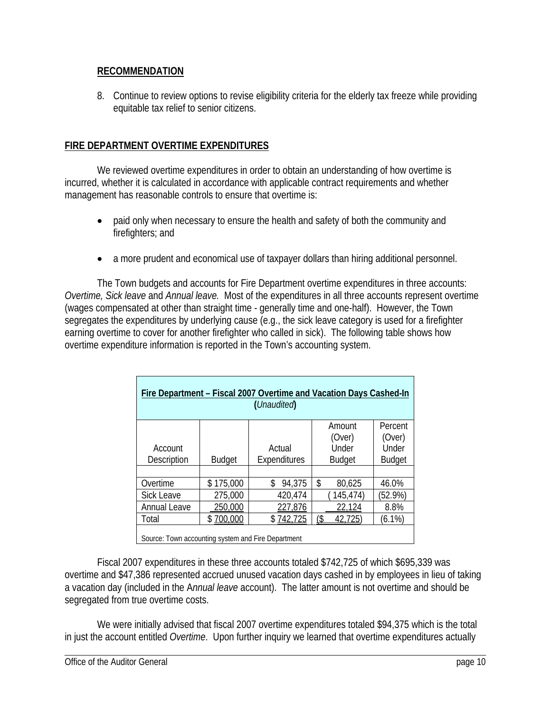### **RECOMMENDATION**

8. Continue to review options to revise eligibility criteria for the elderly tax freeze while providing equitable tax relief to senior citizens.

### **FIRE DEPARTMENT OVERTIME EXPENDITURES**

We reviewed overtime expenditures in order to obtain an understanding of how overtime is incurred, whether it is calculated in accordance with applicable contract requirements and whether management has reasonable controls to ensure that overtime is:

- paid only when necessary to ensure the health and safety of both the community and firefighters; and
- a more prudent and economical use of taxpayer dollars than hiring additional personnel.

The Town budgets and accounts for Fire Department overtime expenditures in three accounts: *Overtime, Sick leave* and *Annual leave.* Most of the expenditures in all three accounts represent overtime (wages compensated at other than straight time - generally time and one-half). However, the Town segregates the expenditures by underlying cause (e.g., the sick leave category is used for a firefighter earning overtime to cover for another firefighter who called in sick). The following table shows how overtime expenditure information is reported in the Town's accounting system.

| Fire Department - Fiscal 2007 Overtime and Vacation Days Cashed-In<br>(Unaudited) |               |              |               |               |
|-----------------------------------------------------------------------------------|---------------|--------------|---------------|---------------|
|                                                                                   |               |              | Amount        | Percent       |
|                                                                                   |               |              | (Over)        | (Over)        |
| Account                                                                           |               |              | Under         | Under         |
| Description                                                                       | <b>Budget</b> | Expenditures | <b>Budget</b> | <b>Budget</b> |
|                                                                                   |               |              |               |               |
| Overtime                                                                          | \$175,000     | 94,375<br>\$ | \$<br>80,625  | 46.0%         |
| <b>Sick Leave</b>                                                                 | 275,000       | 420,474      | 145,474)      | $(52.9\%)$    |
| <b>Annual Leave</b>                                                               | 250,000       | 227,876      | 22,124        | 8.8%          |
| Total                                                                             | \$700,000     | \$742,725    | 42,725<br>(\$ | $(6.1\%)$     |
| Source: Town accounting system and Fire Department                                |               |              |               |               |

Fiscal 2007 expenditures in these three accounts totaled \$742,725 of which \$695,339 was overtime and \$47,386 represented accrued unused vacation days cashed in by employees in lieu of taking a vacation day (included in the A*nnual leave* account). The latter amount is not overtime and should be segregated from true overtime costs.

We were initially advised that fiscal 2007 overtime expenditures totaled \$94,375 which is the total in just the account entitled *Overtime*. Upon further inquiry we learned that overtime expenditures actually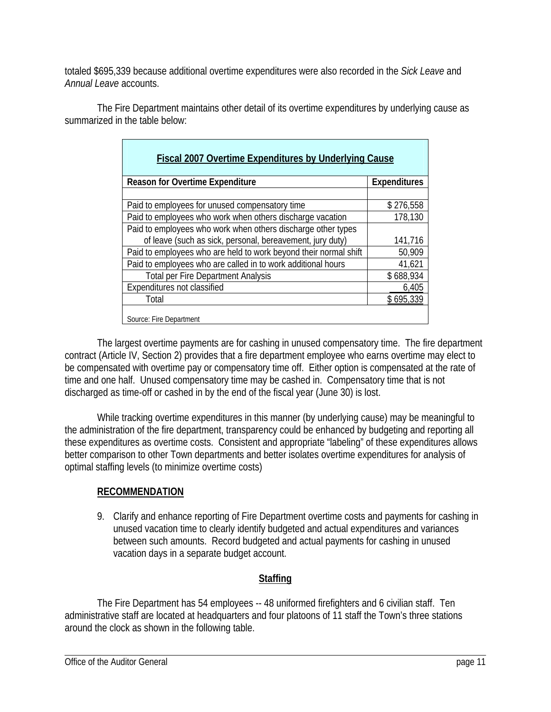totaled \$695,339 because additional overtime expenditures were also recorded in the *Sick Leave* and *Annual Leave* accounts.

 The Fire Department maintains other detail of its overtime expenditures by underlying cause as summarized in the table below:

| <b>Fiscal 2007 Overtime Expenditures by Underlying Cause</b>     |                     |  |  |
|------------------------------------------------------------------|---------------------|--|--|
|                                                                  |                     |  |  |
| <b>Reason for Overtime Expenditure</b>                           | <b>Expenditures</b> |  |  |
|                                                                  |                     |  |  |
| Paid to employees for unused compensatory time                   | \$276,558           |  |  |
| Paid to employees who work when others discharge vacation        | 178,130             |  |  |
| Paid to employees who work when others discharge other types     |                     |  |  |
| of leave (such as sick, personal, bereavement, jury duty)        | 141,716             |  |  |
| Paid to employees who are held to work beyond their normal shift | 50,909              |  |  |
| Paid to employees who are called in to work additional hours     | 41,621              |  |  |
| <b>Total per Fire Department Analysis</b>                        | \$688,934           |  |  |
| Expenditures not classified                                      | 6,405               |  |  |
| Total                                                            | \$695,339           |  |  |
| Source: Fire Department                                          |                     |  |  |

The largest overtime payments are for cashing in unused compensatory time. The fire department contract (Article IV, Section 2) provides that a fire department employee who earns overtime may elect to be compensated with overtime pay or compensatory time off. Either option is compensated at the rate of time and one half. Unused compensatory time may be cashed in. Compensatory time that is not discharged as time-off or cashed in by the end of the fiscal year (June 30) is lost.

While tracking overtime expenditures in this manner (by underlying cause) may be meaningful to the administration of the fire department, transparency could be enhanced by budgeting and reporting all these expenditures as overtime costs. Consistent and appropriate "labeling" of these expenditures allows better comparison to other Town departments and better isolates overtime expenditures for analysis of optimal staffing levels (to minimize overtime costs)

# **RECOMMENDATION**

9. Clarify and enhance reporting of Fire Department overtime costs and payments for cashing in unused vacation time to clearly identify budgeted and actual expenditures and variances between such amounts. Record budgeted and actual payments for cashing in unused vacation days in a separate budget account.

# **Staffing**

The Fire Department has 54 employees -- 48 uniformed firefighters and 6 civilian staff. Ten administrative staff are located at headquarters and four platoons of 11 staff the Town's three stations around the clock as shown in the following table.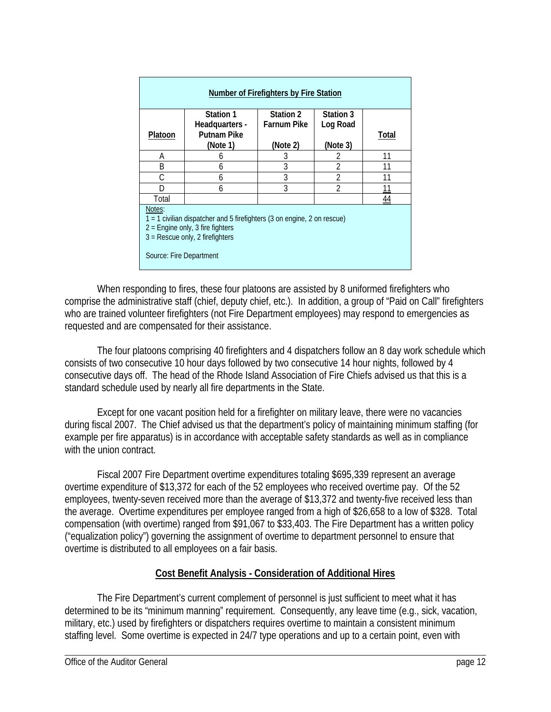| <b>Number of Firefighters by Fire Station</b>                                                                                                                                           |                                      |                    |                |       |
|-----------------------------------------------------------------------------------------------------------------------------------------------------------------------------------------|--------------------------------------|--------------------|----------------|-------|
|                                                                                                                                                                                         | Station 1                            | Station 2          | Station 3      |       |
| Platoon                                                                                                                                                                                 | Headquarters -<br><b>Putnam Pike</b> | <b>Farnum Pike</b> | Log Road       | Total |
|                                                                                                                                                                                         | (Note 1)                             | (Note 2)           | (Note 3)       |       |
| А                                                                                                                                                                                       | 6                                    | 3                  | 2              | 11    |
| B                                                                                                                                                                                       | 6                                    | 3                  | 2              | 11    |
| C                                                                                                                                                                                       | 6                                    | 3                  | $\mathfrak{D}$ | 11    |
| D                                                                                                                                                                                       | 6                                    | 3                  | $\mathfrak{D}$ | 11    |
| Total                                                                                                                                                                                   |                                      |                    |                | 44    |
| Notes:<br>1 = 1 civilian dispatcher and 5 firefighters (3 on engine, 2 on rescue)<br>$2$ = Engine only, 3 fire fighters<br>$3$ = Rescue only, 2 firefighters<br>Source: Fire Department |                                      |                    |                |       |

When responding to fires, these four platoons are assisted by 8 uniformed firefighters who comprise the administrative staff (chief, deputy chief, etc.). In addition, a group of "Paid on Call" firefighters who are trained volunteer firefighters (not Fire Department employees) may respond to emergencies as requested and are compensated for their assistance.

The four platoons comprising 40 firefighters and 4 dispatchers follow an 8 day work schedule which consists of two consecutive 10 hour days followed by two consecutive 14 hour nights, followed by 4 consecutive days off. The head of the Rhode Island Association of Fire Chiefs advised us that this is a standard schedule used by nearly all fire departments in the State.

Except for one vacant position held for a firefighter on military leave, there were no vacancies during fiscal 2007. The Chief advised us that the department's policy of maintaining minimum staffing (for example per fire apparatus) is in accordance with acceptable safety standards as well as in compliance with the union contract.

Fiscal 2007 Fire Department overtime expenditures totaling \$695,339 represent an average overtime expenditure of \$13,372 for each of the 52 employees who received overtime pay. Of the 52 employees, twenty-seven received more than the average of \$13,372 and twenty-five received less than the average. Overtime expenditures per employee ranged from a high of \$26,658 to a low of \$328. Total compensation (with overtime) ranged from \$91,067 to \$33,403. The Fire Department has a written policy ("equalization policy") governing the assignment of overtime to department personnel to ensure that overtime is distributed to all employees on a fair basis.

### **Cost Benefit Analysis - Consideration of Additional Hires**

 The Fire Department's current complement of personnel is just sufficient to meet what it has determined to be its "minimum manning" requirement. Consequently, any leave time (e.g., sick, vacation, military, etc.) used by firefighters or dispatchers requires overtime to maintain a consistent minimum staffing level. Some overtime is expected in 24/7 type operations and up to a certain point, even with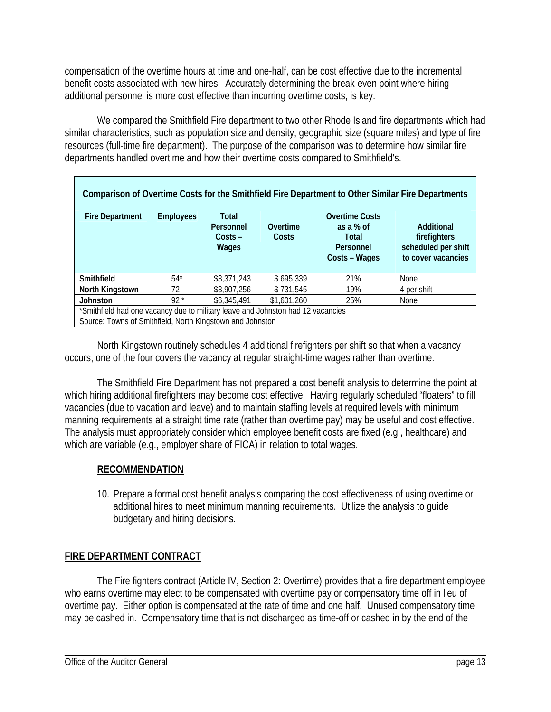compensation of the overtime hours at time and one-half, can be cost effective due to the incremental benefit costs associated with new hires. Accurately determining the break-even point where hiring additional personnel is more cost effective than incurring overtime costs, is key.

We compared the Smithfield Fire department to two other Rhode Island fire departments which had similar characteristics, such as population size and density, geographic size (square miles) and type of fire resources (full-time fire department). The purpose of the comparison was to determine how similar fire departments handled overtime and how their overtime costs compared to Smithfield's.

| Comparison of Overtime Costs for the Smithfield Fire Department to Other Similar Fire Departments                                            |                  |                                                 |                   |                                                                           |                                                                         |
|----------------------------------------------------------------------------------------------------------------------------------------------|------------------|-------------------------------------------------|-------------------|---------------------------------------------------------------------------|-------------------------------------------------------------------------|
| <b>Fire Department</b>                                                                                                                       | <b>Employees</b> | <b>Total</b><br>Personnel<br>$Costs -$<br>Wages | Overtime<br>Costs | <b>Overtime Costs</b><br>as a % of<br>Total<br>Personnel<br>Costs – Wages | Additional<br>firefighters<br>scheduled per shift<br>to cover vacancies |
| Smithfield                                                                                                                                   | $54*$            | \$3,371,243                                     | \$695,339         | 21%                                                                       | <b>None</b>                                                             |
| North Kingstown                                                                                                                              | 72.              | \$3,907,256                                     | \$731,545         | 19%                                                                       | 4 per shift                                                             |
| <b>Johnston</b>                                                                                                                              | $92*$            | \$6,345,491                                     | \$1,601,260       | 25%                                                                       | <b>None</b>                                                             |
| *Smithfield had one vacancy due to military leave and Johnston had 12 vacancies<br>Source: Towns of Smithfield, North Kingstown and Johnston |                  |                                                 |                   |                                                                           |                                                                         |

 North Kingstown routinely schedules 4 additional firefighters per shift so that when a vacancy occurs, one of the four covers the vacancy at regular straight-time wages rather than overtime.

The Smithfield Fire Department has not prepared a cost benefit analysis to determine the point at which hiring additional firefighters may become cost effective. Having regularly scheduled "floaters" to fill vacancies (due to vacation and leave) and to maintain staffing levels at required levels with minimum manning requirements at a straight time rate (rather than overtime pay) may be useful and cost effective. The analysis must appropriately consider which employee benefit costs are fixed (e.g., healthcare) and which are variable (e.g., employer share of FICA) in relation to total wages.

# **RECOMMENDATION**

10. Prepare a formal cost benefit analysis comparing the cost effectiveness of using overtime or additional hires to meet minimum manning requirements. Utilize the analysis to guide budgetary and hiring decisions.

# **FIRE DEPARTMENT CONTRACT**

The Fire fighters contract (Article IV, Section 2: Overtime) provides that a fire department employee who earns overtime may elect to be compensated with overtime pay or compensatory time off in lieu of overtime pay. Either option is compensated at the rate of time and one half. Unused compensatory time may be cashed in. Compensatory time that is not discharged as time-off or cashed in by the end of the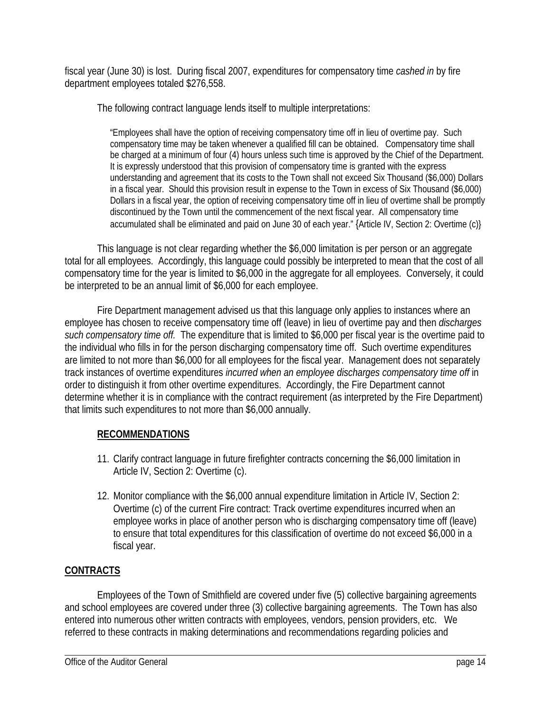fiscal year (June 30) is lost. During fiscal 2007, expenditures for compensatory time *cashed in* by fire department employees totaled \$276,558.

The following contract language lends itself to multiple interpretations:

"Employees shall have the option of receiving compensatory time off in lieu of overtime pay. Such compensatory time may be taken whenever a qualified fill can be obtained. Compensatory time shall be charged at a minimum of four (4) hours unless such time is approved by the Chief of the Department. It is expressly understood that this provision of compensatory time is granted with the express understanding and agreement that its costs to the Town shall not exceed Six Thousand (\$6,000) Dollars in a fiscal year. Should this provision result in expense to the Town in excess of Six Thousand (\$6,000) Dollars in a fiscal year, the option of receiving compensatory time off in lieu of overtime shall be promptly discontinued by the Town until the commencement of the next fiscal year. All compensatory time accumulated shall be eliminated and paid on June 30 of each year." {Article IV, Section 2: Overtime (c)}

This language is not clear regarding whether the \$6,000 limitation is per person or an aggregate total for all employees. Accordingly, this language could possibly be interpreted to mean that the cost of all compensatory time for the year is limited to \$6,000 in the aggregate for all employees. Conversely, it could be interpreted to be an annual limit of \$6,000 for each employee.

Fire Department management advised us that this language only applies to instances where an employee has chosen to receive compensatory time off (leave) in lieu of overtime pay and then *discharges such compensatory time off.* The expenditure that is limited to \$6,000 per fiscal year is the overtime paid to the individual who fills in for the person discharging compensatory time off. Such overtime expenditures are limited to not more than \$6,000 for all employees for the fiscal year. Management does not separately track instances of overtime expenditures *incurred when an employee discharges compensatory time off* in order to distinguish it from other overtime expenditures. Accordingly, the Fire Department cannot determine whether it is in compliance with the contract requirement (as interpreted by the Fire Department) that limits such expenditures to not more than \$6,000 annually.

### **RECOMMENDATIONS**

- 11. Clarify contract language in future firefighter contracts concerning the \$6,000 limitation in Article IV, Section 2: Overtime (c).
- 12. Monitor compliance with the \$6,000 annual expenditure limitation in Article IV, Section 2: Overtime (c) of the current Fire contract: Track overtime expenditures incurred when an employee works in place of another person who is discharging compensatory time off (leave) to ensure that total expenditures for this classification of overtime do not exceed \$6,000 in a fiscal year.

# **CONTRACTS**

Employees of the Town of Smithfield are covered under five (5) collective bargaining agreements and school employees are covered under three (3) collective bargaining agreements. The Town has also entered into numerous other written contracts with employees, vendors, pension providers, etc. We referred to these contracts in making determinations and recommendations regarding policies and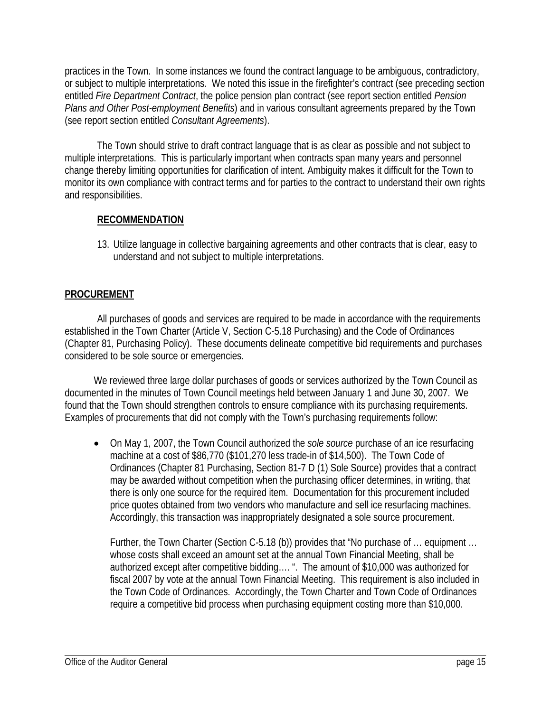practices in the Town. In some instances we found the contract language to be ambiguous, contradictory, or subject to multiple interpretations. We noted this issue in the firefighter's contract (see preceding section entitled *Fire Department Contract*, the police pension plan contract (see report section entitled *Pension Plans and Other Post-employment Benefits*) and in various consultant agreements prepared by the Town (see report section entitled *Consultant Agreements*).

The Town should strive to draft contract language that is as clear as possible and not subject to multiple interpretations. This is particularly important when contracts span many years and personnel change thereby limiting opportunities for clarification of intent. Ambiguity makes it difficult for the Town to monitor its own compliance with contract terms and for parties to the contract to understand their own rights and responsibilities.

### **RECOMMENDATION**

13. Utilize language in collective bargaining agreements and other contracts that is clear, easy to understand and not subject to multiple interpretations.

## **PROCUREMENT**

All purchases of goods and services are required to be made in accordance with the requirements established in the Town Charter (Article V, Section C-5.18 Purchasing) and the Code of Ordinances (Chapter 81, Purchasing Policy). These documents delineate competitive bid requirements and purchases considered to be sole source or emergencies.

We reviewed three large dollar purchases of goods or services authorized by the Town Council as documented in the minutes of Town Council meetings held between January 1 and June 30, 2007. We found that the Town should strengthen controls to ensure compliance with its purchasing requirements. Examples of procurements that did not comply with the Town's purchasing requirements follow:

• On May 1, 2007, the Town Council authorized the *sole source* purchase of an ice resurfacing machine at a cost of \$86,770 (\$101,270 less trade-in of \$14,500). The Town Code of Ordinances (Chapter 81 Purchasing, Section 81-7 D (1) Sole Source) provides that a contract may be awarded without competition when the purchasing officer determines, in writing, that there is only one source for the required item. Documentation for this procurement included price quotes obtained from two vendors who manufacture and sell ice resurfacing machines. Accordingly, this transaction was inappropriately designated a sole source procurement.

Further, the Town Charter (Section C-5.18 (b)) provides that "No purchase of … equipment … whose costs shall exceed an amount set at the annual Town Financial Meeting, shall be authorized except after competitive bidding…. ". The amount of \$10,000 was authorized for fiscal 2007 by vote at the annual Town Financial Meeting. This requirement is also included in the Town Code of Ordinances. Accordingly, the Town Charter and Town Code of Ordinances require a competitive bid process when purchasing equipment costing more than \$10,000.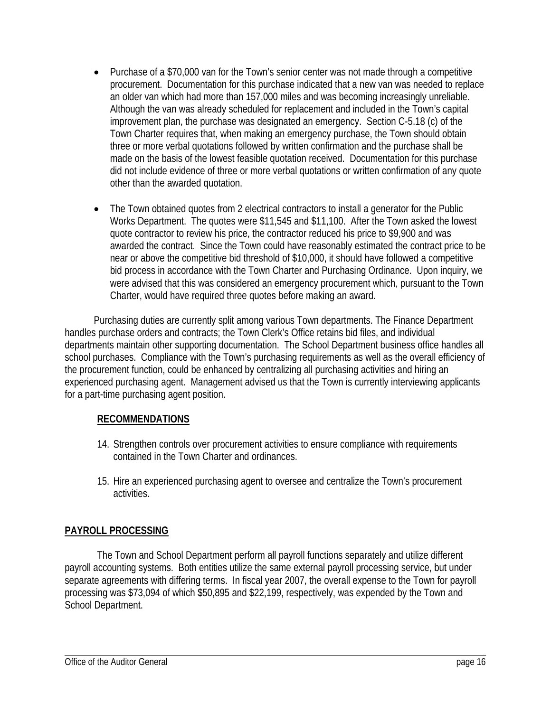- Purchase of a \$70,000 van for the Town's senior center was not made through a competitive procurement. Documentation for this purchase indicated that a new van was needed to replace an older van which had more than 157,000 miles and was becoming increasingly unreliable. Although the van was already scheduled for replacement and included in the Town's capital improvement plan, the purchase was designated an emergency. Section C-5.18 (c) of the Town Charter requires that, when making an emergency purchase, the Town should obtain three or more verbal quotations followed by written confirmation and the purchase shall be made on the basis of the lowest feasible quotation received. Documentation for this purchase did not include evidence of three or more verbal quotations or written confirmation of any quote other than the awarded quotation.
- The Town obtained quotes from 2 electrical contractors to install a generator for the Public Works Department. The quotes were \$11,545 and \$11,100. After the Town asked the lowest quote contractor to review his price, the contractor reduced his price to \$9,900 and was awarded the contract. Since the Town could have reasonably estimated the contract price to be near or above the competitive bid threshold of \$10,000, it should have followed a competitive bid process in accordance with the Town Charter and Purchasing Ordinance. Upon inquiry, we were advised that this was considered an emergency procurement which, pursuant to the Town Charter, would have required three quotes before making an award.

Purchasing duties are currently split among various Town departments. The Finance Department handles purchase orders and contracts; the Town Clerk's Office retains bid files, and individual departments maintain other supporting documentation. The School Department business office handles all school purchases. Compliance with the Town's purchasing requirements as well as the overall efficiency of the procurement function, could be enhanced by centralizing all purchasing activities and hiring an experienced purchasing agent. Management advised us that the Town is currently interviewing applicants for a part-time purchasing agent position.

# **RECOMMENDATIONS**

- 14. Strengthen controls over procurement activities to ensure compliance with requirements contained in the Town Charter and ordinances.
- 15. Hire an experienced purchasing agent to oversee and centralize the Town's procurement activities.

# **PAYROLL PROCESSING**

The Town and School Department perform all payroll functions separately and utilize different payroll accounting systems. Both entities utilize the same external payroll processing service, but under separate agreements with differing terms. In fiscal year 2007, the overall expense to the Town for payroll processing was \$73,094 of which \$50,895 and \$22,199, respectively, was expended by the Town and School Department.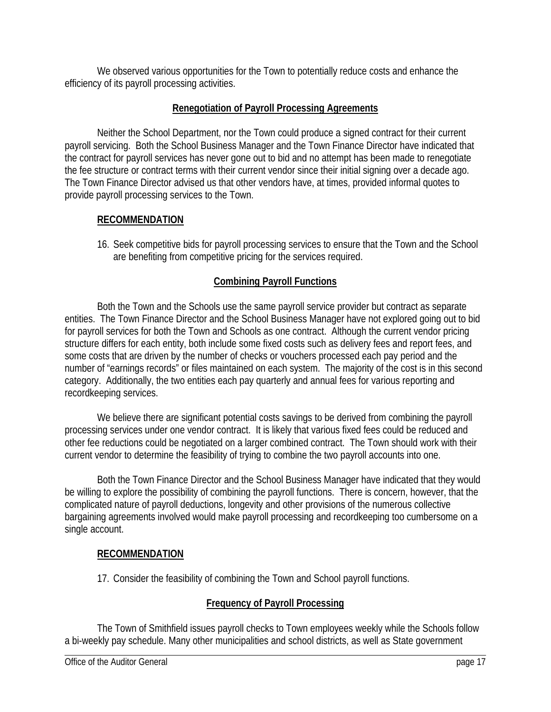We observed various opportunities for the Town to potentially reduce costs and enhance the efficiency of its payroll processing activities.

# **Renegotiation of Payroll Processing Agreements**

Neither the School Department, nor the Town could produce a signed contract for their current payroll servicing. Both the School Business Manager and the Town Finance Director have indicated that the contract for payroll services has never gone out to bid and no attempt has been made to renegotiate the fee structure or contract terms with their current vendor since their initial signing over a decade ago. The Town Finance Director advised us that other vendors have, at times, provided informal quotes to provide payroll processing services to the Town.

## **RECOMMENDATION**

16. Seek competitive bids for payroll processing services to ensure that the Town and the School are benefiting from competitive pricing for the services required.

# **Combining Payroll Functions**

Both the Town and the Schools use the same payroll service provider but contract as separate entities. The Town Finance Director and the School Business Manager have not explored going out to bid for payroll services for both the Town and Schools as one contract. Although the current vendor pricing structure differs for each entity, both include some fixed costs such as delivery fees and report fees, and some costs that are driven by the number of checks or vouchers processed each pay period and the number of "earnings records" or files maintained on each system. The majority of the cost is in this second category. Additionally, the two entities each pay quarterly and annual fees for various reporting and recordkeeping services.

We believe there are significant potential costs savings to be derived from combining the payroll processing services under one vendor contract. It is likely that various fixed fees could be reduced and other fee reductions could be negotiated on a larger combined contract. The Town should work with their current vendor to determine the feasibility of trying to combine the two payroll accounts into one.

Both the Town Finance Director and the School Business Manager have indicated that they would be willing to explore the possibility of combining the payroll functions. There is concern, however, that the complicated nature of payroll deductions, longevity and other provisions of the numerous collective bargaining agreements involved would make payroll processing and recordkeeping too cumbersome on a single account.

### **RECOMMENDATION**

17. Consider the feasibility of combining the Town and School payroll functions.

# **Frequency of Payroll Processing**

The Town of Smithfield issues payroll checks to Town employees weekly while the Schools follow a bi-weekly pay schedule. Many other municipalities and school districts, as well as State government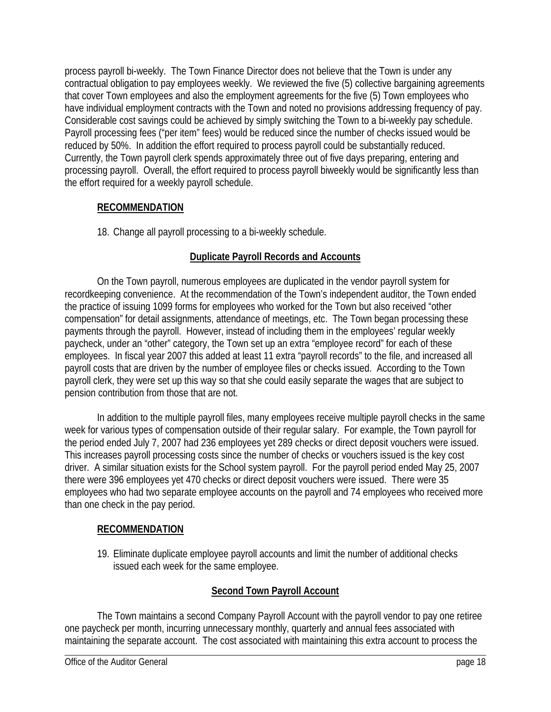process payroll bi-weekly. The Town Finance Director does not believe that the Town is under any contractual obligation to pay employees weekly. We reviewed the five (5) collective bargaining agreements that cover Town employees and also the employment agreements for the five (5) Town employees who have individual employment contracts with the Town and noted no provisions addressing frequency of pay. Considerable cost savings could be achieved by simply switching the Town to a bi-weekly pay schedule. Payroll processing fees ("per item" fees) would be reduced since the number of checks issued would be reduced by 50%. In addition the effort required to process payroll could be substantially reduced. Currently, the Town payroll clerk spends approximately three out of five days preparing, entering and processing payroll. Overall, the effort required to process payroll biweekly would be significantly less than the effort required for a weekly payroll schedule.

# **RECOMMENDATION**

18. Change all payroll processing to a bi-weekly schedule.

# **Duplicate Payroll Records and Accounts**

On the Town payroll, numerous employees are duplicated in the vendor payroll system for recordkeeping convenience. At the recommendation of the Town's independent auditor, the Town ended the practice of issuing 1099 forms for employees who worked for the Town but also received "other compensation" for detail assignments, attendance of meetings, etc. The Town began processing these payments through the payroll. However, instead of including them in the employees' regular weekly paycheck, under an "other" category, the Town set up an extra "employee record" for each of these employees. In fiscal year 2007 this added at least 11 extra "payroll records" to the file, and increased all payroll costs that are driven by the number of employee files or checks issued. According to the Town payroll clerk, they were set up this way so that she could easily separate the wages that are subject to pension contribution from those that are not.

In addition to the multiple payroll files, many employees receive multiple payroll checks in the same week for various types of compensation outside of their regular salary. For example, the Town payroll for the period ended July 7, 2007 had 236 employees yet 289 checks or direct deposit vouchers were issued. This increases payroll processing costs since the number of checks or vouchers issued is the key cost driver. A similar situation exists for the School system payroll. For the payroll period ended May 25, 2007 there were 396 employees yet 470 checks or direct deposit vouchers were issued. There were 35 employees who had two separate employee accounts on the payroll and 74 employees who received more than one check in the pay period.

# **RECOMMENDATION**

19. Eliminate duplicate employee payroll accounts and limit the number of additional checks issued each week for the same employee.

# **Second Town Payroll Account**

The Town maintains a second Company Payroll Account with the payroll vendor to pay one retiree one paycheck per month, incurring unnecessary monthly, quarterly and annual fees associated with maintaining the separate account. The cost associated with maintaining this extra account to process the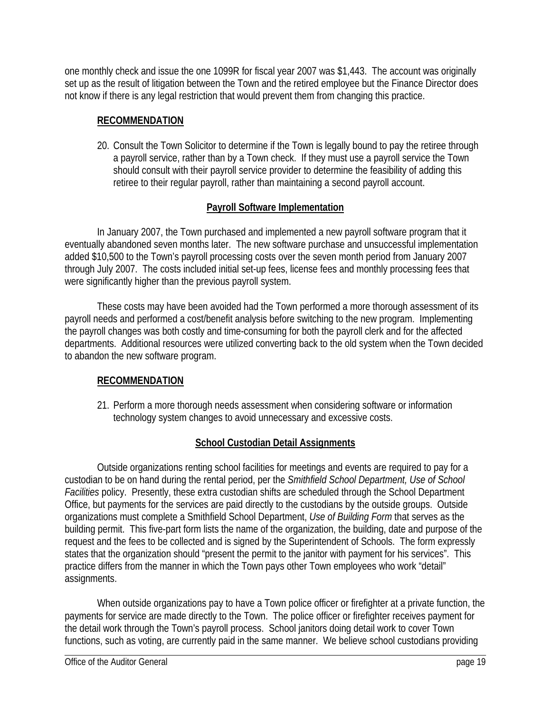one monthly check and issue the one 1099R for fiscal year 2007 was \$1,443. The account was originally set up as the result of litigation between the Town and the retired employee but the Finance Director does not know if there is any legal restriction that would prevent them from changing this practice.

## **RECOMMENDATION**

20. Consult the Town Solicitor to determine if the Town is legally bound to pay the retiree through a payroll service, rather than by a Town check. If they must use a payroll service the Town should consult with their payroll service provider to determine the feasibility of adding this retiree to their regular payroll, rather than maintaining a second payroll account.

## **Payroll Software Implementation**

In January 2007, the Town purchased and implemented a new payroll software program that it eventually abandoned seven months later. The new software purchase and unsuccessful implementation added \$10,500 to the Town's payroll processing costs over the seven month period from January 2007 through July 2007. The costs included initial set-up fees, license fees and monthly processing fees that were significantly higher than the previous payroll system.

These costs may have been avoided had the Town performed a more thorough assessment of its payroll needs and performed a cost/benefit analysis before switching to the new program. Implementing the payroll changes was both costly and time-consuming for both the payroll clerk and for the affected departments. Additional resources were utilized converting back to the old system when the Town decided to abandon the new software program.

# **RECOMMENDATION**

21. Perform a more thorough needs assessment when considering software or information technology system changes to avoid unnecessary and excessive costs.

# **School Custodian Detail Assignments**

Outside organizations renting school facilities for meetings and events are required to pay for a custodian to be on hand during the rental period, per the *Smithfield School Department, Use of School Facilities* policy. Presently, these extra custodian shifts are scheduled through the School Department Office, but payments for the services are paid directly to the custodians by the outside groups. Outside organizations must complete a Smithfield School Department, *Use of Building Form* that serves as the building permit. This five-part form lists the name of the organization, the building, date and purpose of the request and the fees to be collected and is signed by the Superintendent of Schools. The form expressly states that the organization should "present the permit to the janitor with payment for his services". This practice differs from the manner in which the Town pays other Town employees who work "detail" assignments.

When outside organizations pay to have a Town police officer or firefighter at a private function, the payments for service are made directly to the Town. The police officer or firefighter receives payment for the detail work through the Town's payroll process. School janitors doing detail work to cover Town functions, such as voting, are currently paid in the same manner. We believe school custodians providing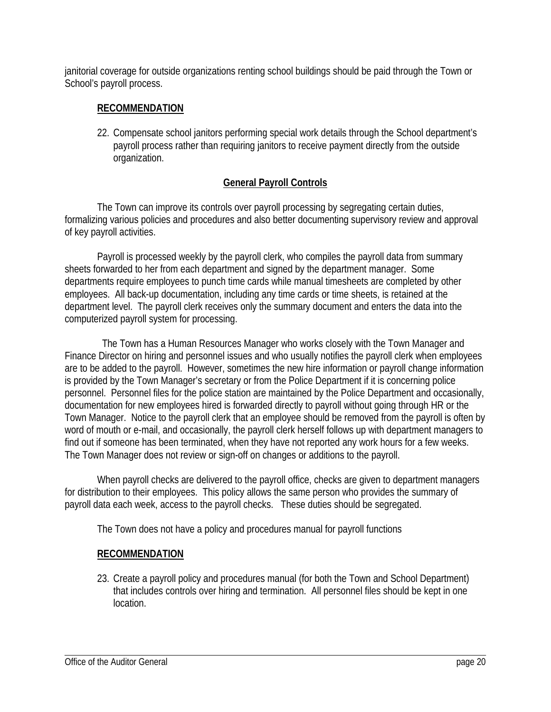janitorial coverage for outside organizations renting school buildings should be paid through the Town or School's payroll process.

## **RECOMMENDATION**

22. Compensate school janitors performing special work details through the School department's payroll process rather than requiring janitors to receive payment directly from the outside organization.

# **General Payroll Controls**

The Town can improve its controls over payroll processing by segregating certain duties, formalizing various policies and procedures and also better documenting supervisory review and approval of key payroll activities.

Payroll is processed weekly by the payroll clerk, who compiles the payroll data from summary sheets forwarded to her from each department and signed by the department manager. Some departments require employees to punch time cards while manual timesheets are completed by other employees. All back-up documentation, including any time cards or time sheets, is retained at the department level. The payroll clerk receives only the summary document and enters the data into the computerized payroll system for processing.

 The Town has a Human Resources Manager who works closely with the Town Manager and Finance Director on hiring and personnel issues and who usually notifies the payroll clerk when employees are to be added to the payroll. However, sometimes the new hire information or payroll change information is provided by the Town Manager's secretary or from the Police Department if it is concerning police personnel. Personnel files for the police station are maintained by the Police Department and occasionally, documentation for new employees hired is forwarded directly to payroll without going through HR or the Town Manager. Notice to the payroll clerk that an employee should be removed from the payroll is often by word of mouth or e-mail, and occasionally, the payroll clerk herself follows up with department managers to find out if someone has been terminated, when they have not reported any work hours for a few weeks. The Town Manager does not review or sign-off on changes or additions to the payroll.

When payroll checks are delivered to the payroll office, checks are given to department managers for distribution to their employees. This policy allows the same person who provides the summary of payroll data each week, access to the payroll checks. These duties should be segregated.

The Town does not have a policy and procedures manual for payroll functions

# **RECOMMENDATION**

23. Create a payroll policy and procedures manual (for both the Town and School Department) that includes controls over hiring and termination. All personnel files should be kept in one location.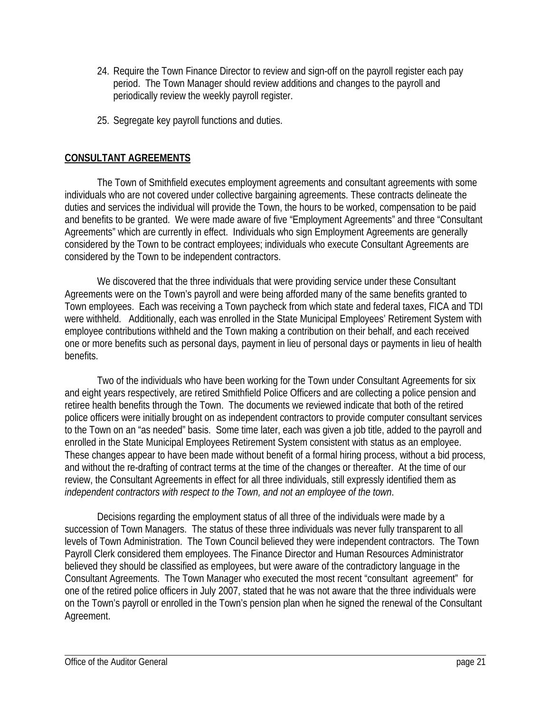- 24. Require the Town Finance Director to review and sign-off on the payroll register each pay period. The Town Manager should review additions and changes to the payroll and periodically review the weekly payroll register.
- 25. Segregate key payroll functions and duties.

### **CONSULTANT AGREEMENTS**

The Town of Smithfield executes employment agreements and consultant agreements with some individuals who are not covered under collective bargaining agreements. These contracts delineate the duties and services the individual will provide the Town, the hours to be worked, compensation to be paid and benefits to be granted. We were made aware of five "Employment Agreements" and three "Consultant Agreements" which are currently in effect. Individuals who sign Employment Agreements are generally considered by the Town to be contract employees; individuals who execute Consultant Agreements are considered by the Town to be independent contractors.

We discovered that the three individuals that were providing service under these Consultant Agreements were on the Town's payroll and were being afforded many of the same benefits granted to Town employees. Each was receiving a Town paycheck from which state and federal taxes, FICA and TDI were withheld. Additionally, each was enrolled in the State Municipal Employees' Retirement System with employee contributions withheld and the Town making a contribution on their behalf, and each received one or more benefits such as personal days, payment in lieu of personal days or payments in lieu of health benefits.

Two of the individuals who have been working for the Town under Consultant Agreements for six and eight years respectively, are retired Smithfield Police Officers and are collecting a police pension and retiree health benefits through the Town. The documents we reviewed indicate that both of the retired police officers were initially brought on as independent contractors to provide computer consultant services to the Town on an "as needed" basis. Some time later, each was given a job title, added to the payroll and enrolled in the State Municipal Employees Retirement System consistent with status as an employee. These changes appear to have been made without benefit of a formal hiring process, without a bid process, and without the re-drafting of contract terms at the time of the changes or thereafter. At the time of our review, the Consultant Agreements in effect for all three individuals, still expressly identified them as *independent contractors with respect to the Town, and not an employee of the town*.

Decisions regarding the employment status of all three of the individuals were made by a succession of Town Managers. The status of these three individuals was never fully transparent to all levels of Town Administration. The Town Council believed they were independent contractors. The Town Payroll Clerk considered them employees. The Finance Director and Human Resources Administrator believed they should be classified as employees, but were aware of the contradictory language in the Consultant Agreements. The Town Manager who executed the most recent "consultant agreement" for one of the retired police officers in July 2007, stated that he was not aware that the three individuals were on the Town's payroll or enrolled in the Town's pension plan when he signed the renewal of the Consultant Agreement.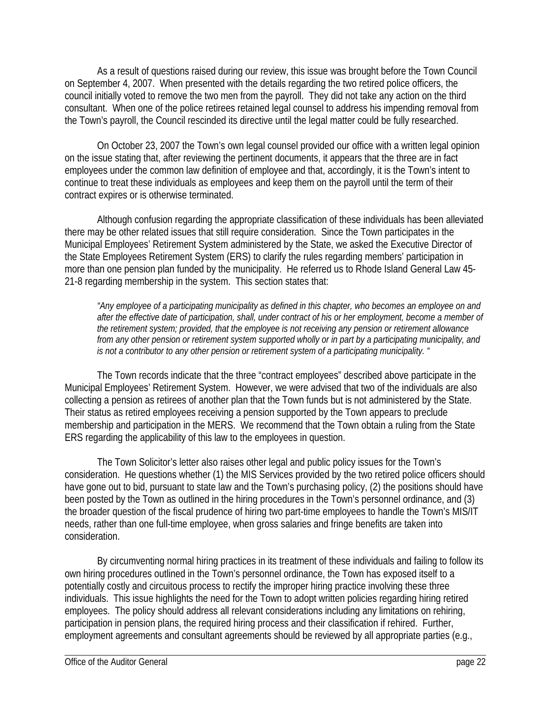As a result of questions raised during our review, this issue was brought before the Town Council on September 4, 2007. When presented with the details regarding the two retired police officers, the council initially voted to remove the two men from the payroll. They did not take any action on the third consultant. When one of the police retirees retained legal counsel to address his impending removal from the Town's payroll, the Council rescinded its directive until the legal matter could be fully researched.

On October 23, 2007 the Town's own legal counsel provided our office with a written legal opinion on the issue stating that, after reviewing the pertinent documents, it appears that the three are in fact employees under the common law definition of employee and that, accordingly, it is the Town's intent to continue to treat these individuals as employees and keep them on the payroll until the term of their contract expires or is otherwise terminated.

Although confusion regarding the appropriate classification of these individuals has been alleviated there may be other related issues that still require consideration. Since the Town participates in the Municipal Employees' Retirement System administered by the State, we asked the Executive Director of the State Employees Retirement System (ERS) to clarify the rules regarding members' participation in more than one pension plan funded by the municipality. He referred us to Rhode Island General Law 45- 21-8 regarding membership in the system. This section states that:

*"Any employee of a participating municipality as defined in this chapter, who becomes an employee on and after the effective date of participation, shall, under contract of his or her employment, become a member of the retirement system; provided, that the employee is not receiving any pension or retirement allowance from any other pension or retirement system supported wholly or in part by a participating municipality, and is not a contributor to any other pension or retirement system of a participating municipality. "* 

The Town records indicate that the three "contract employees" described above participate in the Municipal Employees' Retirement System. However, we were advised that two of the individuals are also collecting a pension as retirees of another plan that the Town funds but is not administered by the State. Their status as retired employees receiving a pension supported by the Town appears to preclude membership and participation in the MERS. We recommend that the Town obtain a ruling from the State ERS regarding the applicability of this law to the employees in question.

The Town Solicitor's letter also raises other legal and public policy issues for the Town's consideration. He questions whether (1) the MIS Services provided by the two retired police officers should have gone out to bid, pursuant to state law and the Town's purchasing policy, (2) the positions should have been posted by the Town as outlined in the hiring procedures in the Town's personnel ordinance, and (3) the broader question of the fiscal prudence of hiring two part-time employees to handle the Town's MIS/IT needs, rather than one full-time employee, when gross salaries and fringe benefits are taken into consideration.

By circumventing normal hiring practices in its treatment of these individuals and failing to follow its own hiring procedures outlined in the Town's personnel ordinance, the Town has exposed itself to a potentially costly and circuitous process to rectify the improper hiring practice involving these three individuals. This issue highlights the need for the Town to adopt written policies regarding hiring retired employees. The policy should address all relevant considerations including any limitations on rehiring, participation in pension plans, the required hiring process and their classification if rehired. Further, employment agreements and consultant agreements should be reviewed by all appropriate parties (e.g.,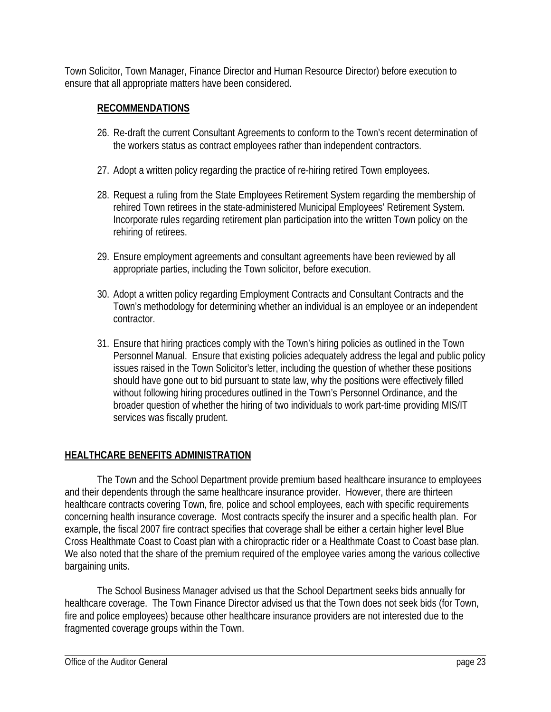Town Solicitor, Town Manager, Finance Director and Human Resource Director) before execution to ensure that all appropriate matters have been considered.

# **RECOMMENDATIONS**

- 26. Re-draft the current Consultant Agreements to conform to the Town's recent determination of the workers status as contract employees rather than independent contractors.
- 27. Adopt a written policy regarding the practice of re-hiring retired Town employees.
- 28. Request a ruling from the State Employees Retirement System regarding the membership of rehired Town retirees in the state-administered Municipal Employees' Retirement System. Incorporate rules regarding retirement plan participation into the written Town policy on the rehiring of retirees.
- 29. Ensure employment agreements and consultant agreements have been reviewed by all appropriate parties, including the Town solicitor, before execution.
- 30. Adopt a written policy regarding Employment Contracts and Consultant Contracts and the Town's methodology for determining whether an individual is an employee or an independent contractor.
- 31. Ensure that hiring practices comply with the Town's hiring policies as outlined in the Town Personnel Manual. Ensure that existing policies adequately address the legal and public policy issues raised in the Town Solicitor's letter, including the question of whether these positions should have gone out to bid pursuant to state law, why the positions were effectively filled without following hiring procedures outlined in the Town's Personnel Ordinance, and the broader question of whether the hiring of two individuals to work part-time providing MIS/IT services was fiscally prudent.

# **HEALTHCARE BENEFITS ADMINISTRATION**

The Town and the School Department provide premium based healthcare insurance to employees and their dependents through the same healthcare insurance provider. However, there are thirteen healthcare contracts covering Town, fire, police and school employees, each with specific requirements concerning health insurance coverage. Most contracts specify the insurer and a specific health plan. For example, the fiscal 2007 fire contract specifies that coverage shall be either a certain higher level Blue Cross Healthmate Coast to Coast plan with a chiropractic rider or a Healthmate Coast to Coast base plan. We also noted that the share of the premium required of the employee varies among the various collective bargaining units.

The School Business Manager advised us that the School Department seeks bids annually for healthcare coverage. The Town Finance Director advised us that the Town does not seek bids (for Town, fire and police employees) because other healthcare insurance providers are not interested due to the fragmented coverage groups within the Town.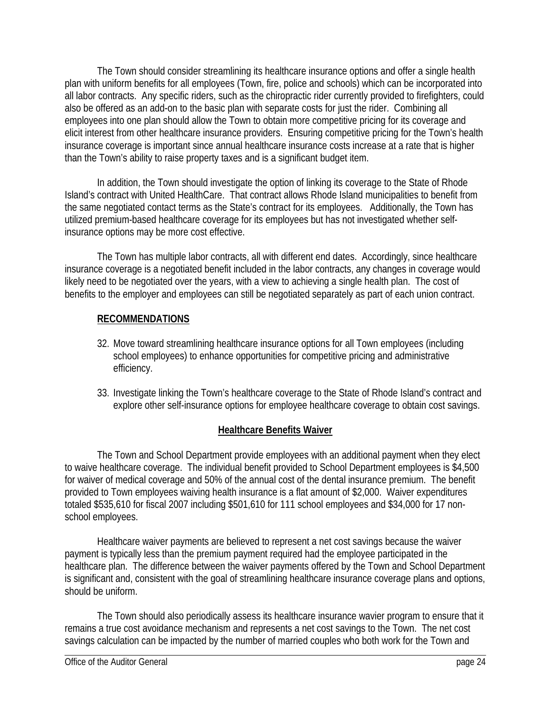The Town should consider streamlining its healthcare insurance options and offer a single health plan with uniform benefits for all employees (Town, fire, police and schools) which can be incorporated into all labor contracts. Any specific riders, such as the chiropractic rider currently provided to firefighters, could also be offered as an add-on to the basic plan with separate costs for just the rider. Combining all employees into one plan should allow the Town to obtain more competitive pricing for its coverage and elicit interest from other healthcare insurance providers. Ensuring competitive pricing for the Town's health insurance coverage is important since annual healthcare insurance costs increase at a rate that is higher than the Town's ability to raise property taxes and is a significant budget item.

In addition, the Town should investigate the option of linking its coverage to the State of Rhode Island's contract with United HealthCare. That contract allows Rhode Island municipalities to benefit from the same negotiated contact terms as the State's contract for its employees. Additionally, the Town has utilized premium-based healthcare coverage for its employees but has not investigated whether selfinsurance options may be more cost effective.

The Town has multiple labor contracts, all with different end dates. Accordingly, since healthcare insurance coverage is a negotiated benefit included in the labor contracts, any changes in coverage would likely need to be negotiated over the years, with a view to achieving a single health plan. The cost of benefits to the employer and employees can still be negotiated separately as part of each union contract.

# **RECOMMENDATIONS**

- 32. Move toward streamlining healthcare insurance options for all Town employees (including school employees) to enhance opportunities for competitive pricing and administrative efficiency.
- 33. Investigate linking the Town's healthcare coverage to the State of Rhode Island's contract and explore other self-insurance options for employee healthcare coverage to obtain cost savings.

### **Healthcare Benefits Waiver**

The Town and School Department provide employees with an additional payment when they elect to waive healthcare coverage. The individual benefit provided to School Department employees is \$4,500 for waiver of medical coverage and 50% of the annual cost of the dental insurance premium. The benefit provided to Town employees waiving health insurance is a flat amount of \$2,000. Waiver expenditures totaled \$535,610 for fiscal 2007 including \$501,610 for 111 school employees and \$34,000 for 17 nonschool employees.

Healthcare waiver payments are believed to represent a net cost savings because the waiver payment is typically less than the premium payment required had the employee participated in the healthcare plan. The difference between the waiver payments offered by the Town and School Department is significant and, consistent with the goal of streamlining healthcare insurance coverage plans and options, should be uniform.

The Town should also periodically assess its healthcare insurance wavier program to ensure that it remains a true cost avoidance mechanism and represents a net cost savings to the Town. The net cost savings calculation can be impacted by the number of married couples who both work for the Town and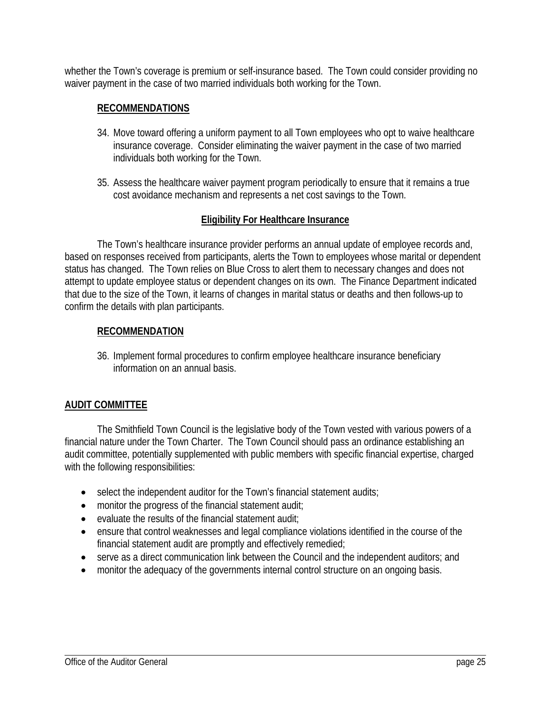whether the Town's coverage is premium or self-insurance based. The Town could consider providing no waiver payment in the case of two married individuals both working for the Town.

### **RECOMMENDATIONS**

- 34. Move toward offering a uniform payment to all Town employees who opt to waive healthcare insurance coverage. Consider eliminating the waiver payment in the case of two married individuals both working for the Town.
- 35. Assess the healthcare waiver payment program periodically to ensure that it remains a true cost avoidance mechanism and represents a net cost savings to the Town.

### **Eligibility For Healthcare Insurance**

The Town's healthcare insurance provider performs an annual update of employee records and, based on responses received from participants, alerts the Town to employees whose marital or dependent status has changed. The Town relies on Blue Cross to alert them to necessary changes and does not attempt to update employee status or dependent changes on its own. The Finance Department indicated that due to the size of the Town, it learns of changes in marital status or deaths and then follows-up to confirm the details with plan participants.

#### **RECOMMENDATION**

36. Implement formal procedures to confirm employee healthcare insurance beneficiary information on an annual basis.

#### **AUDIT COMMITTEE**

The Smithfield Town Council is the legislative body of the Town vested with various powers of a financial nature under the Town Charter. The Town Council should pass an ordinance establishing an audit committee, potentially supplemented with public members with specific financial expertise, charged with the following responsibilities:

- select the independent auditor for the Town's financial statement audits;
- monitor the progress of the financial statement audit:
- evaluate the results of the financial statement audit;
- ensure that control weaknesses and legal compliance violations identified in the course of the financial statement audit are promptly and effectively remedied;
- serve as a direct communication link between the Council and the independent auditors; and
- monitor the adequacy of the governments internal control structure on an ongoing basis.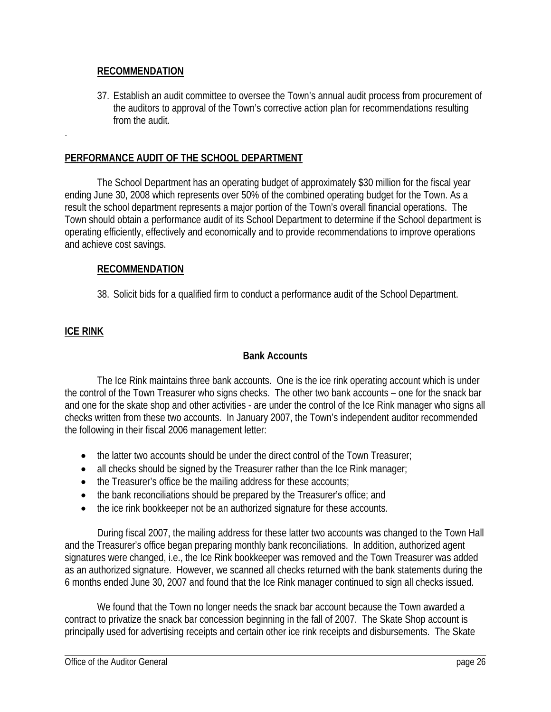#### **RECOMMENDATION**

37. Establish an audit committee to oversee the Town's annual audit process from procurement of the auditors to approval of the Town's corrective action plan for recommendations resulting from the audit.

### **PERFORMANCE AUDIT OF THE SCHOOL DEPARTMENT**

The School Department has an operating budget of approximately \$30 million for the fiscal year ending June 30, 2008 which represents over 50% of the combined operating budget for the Town. As a result the school department represents a major portion of the Town's overall financial operations. The Town should obtain a performance audit of its School Department to determine if the School department is operating efficiently, effectively and economically and to provide recommendations to improve operations and achieve cost savings.

### **RECOMMENDATION**

38. Solicit bids for a qualified firm to conduct a performance audit of the School Department.

## **ICE RINK**

.

### **Bank Accounts**

The Ice Rink maintains three bank accounts. One is the ice rink operating account which is under the control of the Town Treasurer who signs checks. The other two bank accounts – one for the snack bar and one for the skate shop and other activities - are under the control of the Ice Rink manager who signs all checks written from these two accounts. In January 2007, the Town's independent auditor recommended the following in their fiscal 2006 management letter:

- the latter two accounts should be under the direct control of the Town Treasurer;
- all checks should be signed by the Treasurer rather than the Ice Rink manager;
- the Treasurer's office be the mailing address for these accounts;
- the bank reconciliations should be prepared by the Treasurer's office; and
- the ice rink bookkeeper not be an authorized signature for these accounts.

During fiscal 2007, the mailing address for these latter two accounts was changed to the Town Hall and the Treasurer's office began preparing monthly bank reconciliations. In addition, authorized agent signatures were changed, i.e., the Ice Rink bookkeeper was removed and the Town Treasurer was added as an authorized signature. However, we scanned all checks returned with the bank statements during the 6 months ended June 30, 2007 and found that the Ice Rink manager continued to sign all checks issued.

We found that the Town no longer needs the snack bar account because the Town awarded a contract to privatize the snack bar concession beginning in the fall of 2007. The Skate Shop account is principally used for advertising receipts and certain other ice rink receipts and disbursements. The Skate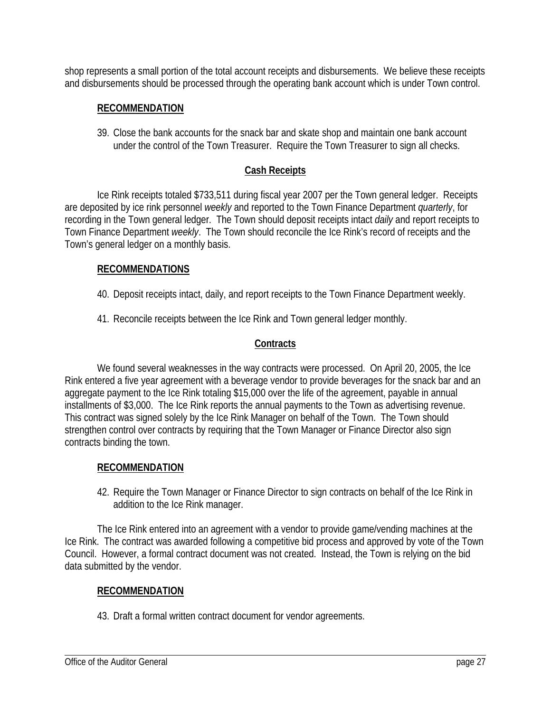shop represents a small portion of the total account receipts and disbursements. We believe these receipts and disbursements should be processed through the operating bank account which is under Town control.

### **RECOMMENDATION**

39. Close the bank accounts for the snack bar and skate shop and maintain one bank account under the control of the Town Treasurer. Require the Town Treasurer to sign all checks.

# **Cash Receipts**

Ice Rink receipts totaled \$733,511 during fiscal year 2007 per the Town general ledger. Receipts are deposited by ice rink personnel *weekly* and reported to the Town Finance Department *quarterly*, for recording in the Town general ledger. The Town should deposit receipts intact *daily* and report receipts to Town Finance Department *weekly*. The Town should reconcile the Ice Rink's record of receipts and the Town's general ledger on a monthly basis.

### **RECOMMENDATIONS**

- 40. Deposit receipts intact, daily, and report receipts to the Town Finance Department weekly.
- 41. Reconcile receipts between the Ice Rink and Town general ledger monthly.

# **Contracts**

We found several weaknesses in the way contracts were processed. On April 20, 2005, the Ice Rink entered a five year agreement with a beverage vendor to provide beverages for the snack bar and an aggregate payment to the Ice Rink totaling \$15,000 over the life of the agreement, payable in annual installments of \$3,000. The Ice Rink reports the annual payments to the Town as advertising revenue. This contract was signed solely by the Ice Rink Manager on behalf of the Town. The Town should strengthen control over contracts by requiring that the Town Manager or Finance Director also sign contracts binding the town.

# **RECOMMENDATION**

42. Require the Town Manager or Finance Director to sign contracts on behalf of the Ice Rink in addition to the Ice Rink manager.

The Ice Rink entered into an agreement with a vendor to provide game/vending machines at the Ice Rink. The contract was awarded following a competitive bid process and approved by vote of the Town Council. However, a formal contract document was not created. Instead, the Town is relying on the bid data submitted by the vendor.

### **RECOMMENDATION**

43. Draft a formal written contract document for vendor agreements.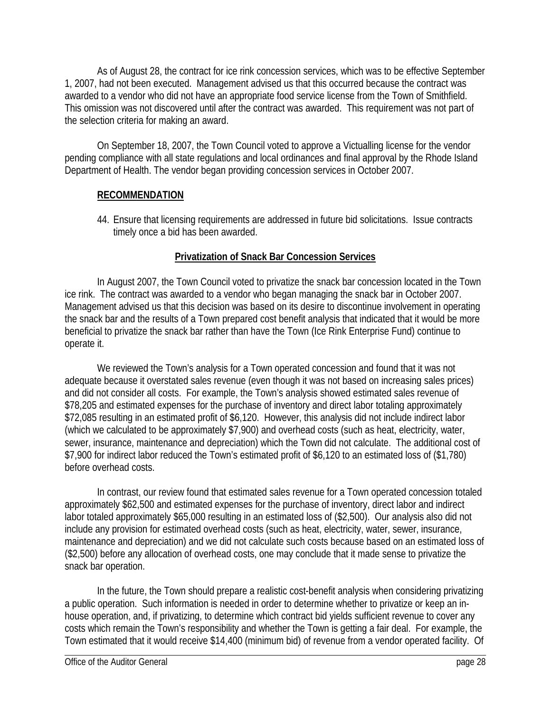As of August 28, the contract for ice rink concession services, which was to be effective September 1, 2007, had not been executed. Management advised us that this occurred because the contract was awarded to a vendor who did not have an appropriate food service license from the Town of Smithfield. This omission was not discovered until after the contract was awarded. This requirement was not part of the selection criteria for making an award.

On September 18, 2007, the Town Council voted to approve a Victualling license for the vendor pending compliance with all state regulations and local ordinances and final approval by the Rhode Island Department of Health. The vendor began providing concession services in October 2007.

### **RECOMMENDATION**

44. Ensure that licensing requirements are addressed in future bid solicitations. Issue contracts timely once a bid has been awarded.

# **Privatization of Snack Bar Concession Services**

In August 2007, the Town Council voted to privatize the snack bar concession located in the Town ice rink. The contract was awarded to a vendor who began managing the snack bar in October 2007. Management advised us that this decision was based on its desire to discontinue involvement in operating the snack bar and the results of a Town prepared cost benefit analysis that indicated that it would be more beneficial to privatize the snack bar rather than have the Town (Ice Rink Enterprise Fund) continue to operate it.

We reviewed the Town's analysis for a Town operated concession and found that it was not adequate because it overstated sales revenue (even though it was not based on increasing sales prices) and did not consider all costs. For example, the Town's analysis showed estimated sales revenue of \$78,205 and estimated expenses for the purchase of inventory and direct labor totaling approximately \$72,085 resulting in an estimated profit of \$6,120. However, this analysis did not include indirect labor (which we calculated to be approximately \$7,900) and overhead costs (such as heat, electricity, water, sewer, insurance, maintenance and depreciation) which the Town did not calculate. The additional cost of \$7,900 for indirect labor reduced the Town's estimated profit of \$6,120 to an estimated loss of (\$1,780) before overhead costs.

In contrast, our review found that estimated sales revenue for a Town operated concession totaled approximately \$62,500 and estimated expenses for the purchase of inventory, direct labor and indirect labor totaled approximately \$65,000 resulting in an estimated loss of (\$2,500). Our analysis also did not include any provision for estimated overhead costs (such as heat, electricity, water, sewer, insurance, maintenance and depreciation) and we did not calculate such costs because based on an estimated loss of (\$2,500) before any allocation of overhead costs, one may conclude that it made sense to privatize the snack bar operation.

In the future, the Town should prepare a realistic cost-benefit analysis when considering privatizing a public operation. Such information is needed in order to determine whether to privatize or keep an inhouse operation, and, if privatizing, to determine which contract bid yields sufficient revenue to cover any costs which remain the Town's responsibility and whether the Town is getting a fair deal. For example, the Town estimated that it would receive \$14,400 (minimum bid) of revenue from a vendor operated facility. Of